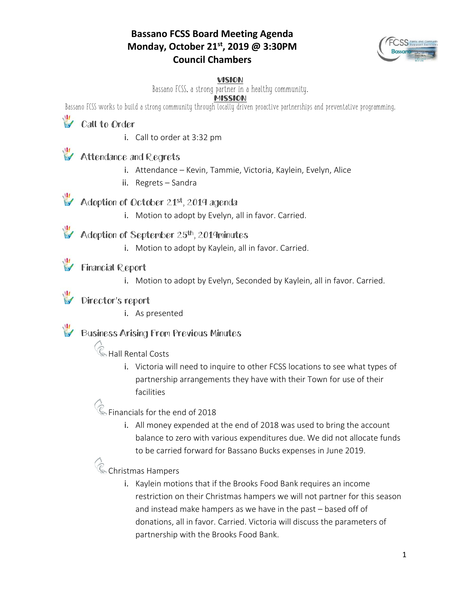#### **Bassano FCSS Board Meeting Agenda Monday, October 21st, 2019 @ 3:30PM Council Chambers**



#### VISION

Bassano FCSS, a strong partner in a healthy community.

#### MISSION

Bassano FCSS works to build a strong community through locally driven proactive partnerships and preventative programming.

**Call to Order** 

i. Call to order at 3:32 pm

### Attendance and Regrets

- i. Attendance Kevin, Tammie, Victoria, Kaylein, Evelyn, Alice
- ii. Regrets Sandra

## Adoption of October 21st, 2019 agenda

i. Motion to adopt by Evelyn, all in favor. Carried.

#### Adoption of September 25<sup>th</sup>, 2019minutes

i. Motion to adopt by Kaylein, all in favor. Carried.

#### Financial Report

i. Motion to adopt by Evelyn, Seconded by Kaylein, all in favor. Carried.

#### Director's report

i. As presented

#### Business Arising From Previous Minutes

**C** Hall Rental Costs

i. Victoria will need to inquire to other FCSS locations to see what types of partnership arrangements they have with their Town for use of their facilities

# $\%$  Financials for the end of 2018

i. All money expended at the end of 2018 was used to bring the account balance to zero with various expenditures due. We did not allocate funds to be carried forward for Bassano Bucks expenses in June 2019.

## **C** Christmas Hampers

i. Kaylein motions that if the Brooks Food Bank requires an income restriction on their Christmas hampers we will not partner for this season and instead make hampers as we have in the past – based off of donations, all in favor. Carried. Victoria will discuss the parameters of partnership with the Brooks Food Bank.